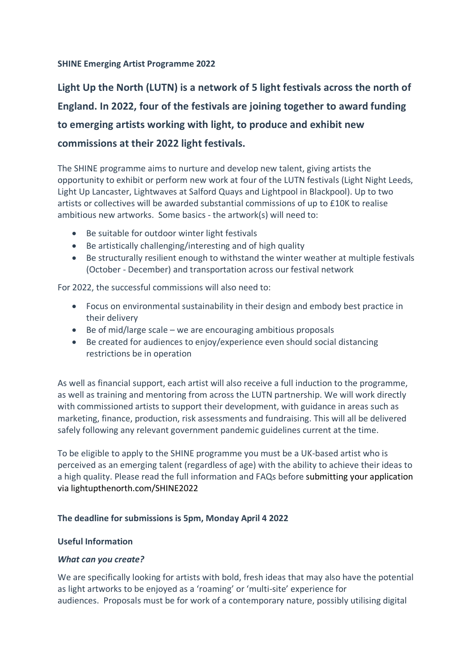## **SHINE Emerging Artist Programme 2022**

**Light Up the North (LUTN) is a network of 5 light festivals across the north of England. In 2022, four of the festivals are joining together to award funding to emerging artists working with light, to produce and exhibit new commissions at their 2022 light festivals.**

The SHINE programme aims to nurture and develop new talent, giving artists the opportunity to exhibit or perform new work at four of the LUTN festivals (Light Night Leeds, Light Up Lancaster, Lightwaves at Salford Quays and Lightpool in Blackpool). Up to two artists or collectives will be awarded substantial commissions of up to £10K to realise ambitious new artworks. Some basics - the artwork(s) will need to:

- Be suitable for outdoor winter light festivals
- Be artistically challenging/interesting and of high quality
- Be structurally resilient enough to withstand the winter weather at multiple festivals (October - December) and transportation across our festival network

For 2022, the successful commissions will also need to:

- Focus on environmental sustainability in their design and embody best practice in their delivery
- Be of mid/large scale we are encouraging ambitious proposals
- Be created for audiences to enjoy/experience even should social distancing restrictions be in operation

As well as financial support, each artist will also receive a full induction to the programme, as well as training and mentoring from across the LUTN partnership. We will work directly with commissioned artists to support their development, with guidance in areas such as marketing, finance, production, risk assessments and fundraising. This will all be delivered safely following any relevant government pandemic guidelines current at the time.

To be eligible to apply to the SHINE programme you must be a UK-based artist who is perceived as an emerging talent (regardless of age) with the ability to achieve their ideas to a high quality. Please read the full information and FAQs before submitting your application via lightupthenorth.com/SHINE2022

# **The deadline for submissions is 5pm, Monday April 4 2022**

# **Useful Information**

#### *What can you create?*

We are specifically looking for artists with bold, fresh ideas that may also have the potential as light artworks to be enjoyed as a 'roaming' or 'multi-site' experience for audiences. Proposals must be for work of a contemporary nature, possibly utilising digital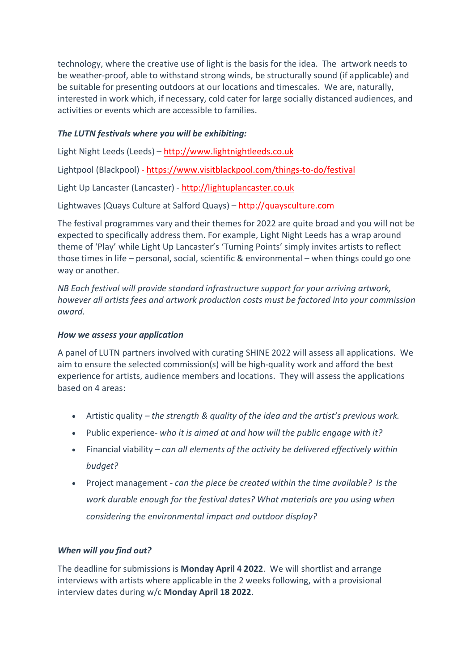technology, where the creative use of light is the basis for the idea. The artwork needs to be weather-proof, able to withstand strong winds, be structurally sound (if applicable) and be suitable for presenting outdoors at our locations and timescales. We are, naturally, interested in work which, if necessary, cold cater for large socially distanced audiences, and activities or events which are accessible to families.

# *The LUTN festivals where you will be exhibiting:*

Light Night Leeds (Leeds) – http://www.lightnightleeds.co.uk

Lightpool (Blackpool) - https://www.visitblackpool.com/things-to-do/festival

Light Up Lancaster (Lancaster) - http://lightuplancaster.co.uk

Lightwaves (Quays Culture at Salford Quays) – http://quaysculture.com

The festival programmes vary and their themes for 2022 are quite broad and you will not be expected to specifically address them. For example, Light Night Leeds has a wrap around theme of 'Play' while Light Up Lancaster's 'Turning Points' simply invites artists to reflect those times in life – personal, social, scientific & environmental – when things could go one way or another.

*NB Each festival will provide standard infrastructure support for your arriving artwork, however all artists fees and artwork production costs must be factored into your commission award.*

#### *How we assess your application*

A panel of LUTN partners involved with curating SHINE 2022 will assess all applications. We aim to ensure the selected commission(s) will be high-quality work and afford the best experience for artists, audience members and locations. They will assess the applications based on 4 areas:

- Artistic quality *– the strength & quality of the idea and the artist's previous work.*
- Public experience*- who it is aimed at and how will the public engage with it?*
- Financial viability *– can all elements of the activity be delivered effectively within budget?*
- Project management *can the piece be created within the time available? Is the work durable enough for the festival dates? What materials are you using when considering the environmental impact and outdoor display?*

# *When will you find out?*

The deadline for submissions is **Monday April 4 2022**. We will shortlist and arrange interviews with artists where applicable in the 2 weeks following, with a provisional interview dates during w/c **Monday April 18 2022**.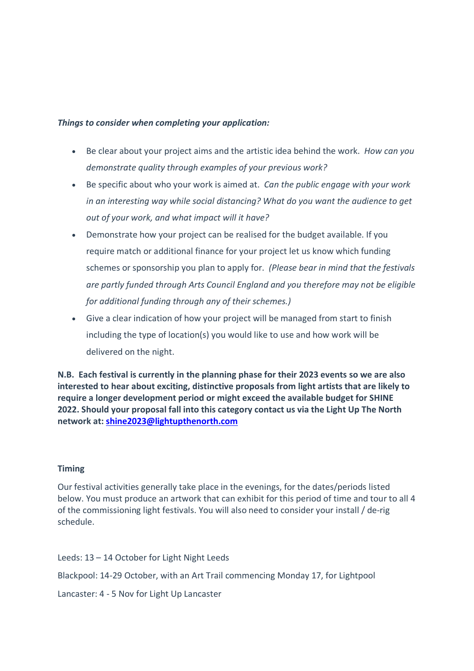#### *Things to consider when completing your application:*

- Be clear about your project aims and the artistic idea behind the work. *How can you demonstrate quality through examples of your previous work?*
- Be specific about who your work is aimed at. *Can the public engage with your work in an interesting way while social distancing? What do you want the audience to get out of your work, and what impact will it have?*
- Demonstrate how your project can be realised for the budget available. If you require match or additional finance for your project let us know which funding schemes or sponsorship you plan to apply for. *(Please bear in mind that the festivals are partly funded through Arts Council England and you therefore may not be eligible for additional funding through any of their schemes.)*
- Give a clear indication of how your project will be managed from start to finish including the type of location(s) you would like to use and how work will be delivered on the night.

**N.B. Each festival is currently in the planning phase for their 2023 events so we are also interested to hear about exciting, distinctive proposals from light artists that are likely to require a longer development period or might exceed the available budget for SHINE 2022. Should your proposal fall into this category contact us via the Light Up The North network at: shine2023@lightupthenorth.com**

#### **Timing**

Our festival activities generally take place in the evenings, for the dates/periods listed below. You must produce an artwork that can exhibit for this period of time and tour to all 4 of the commissioning light festivals. You will also need to consider your install / de-rig schedule.

- Leeds: 13 14 October for Light Night Leeds
- Blackpool: 14-29 October, with an Art Trail commencing Monday 17, for Lightpool
- Lancaster: 4 5 Nov for Light Up Lancaster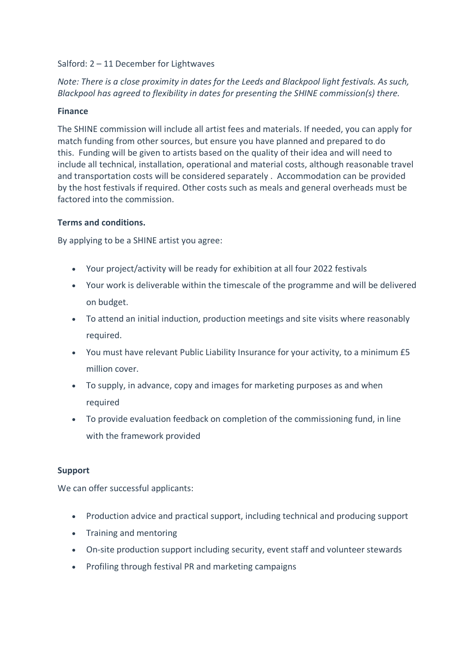## Salford: 2 – 11 December for Lightwaves

# *Note: There is a close proximity in dates for the Leeds and Blackpool light festivals. As such, Blackpool has agreed to flexibility in dates for presenting the SHINE commission(s) there.*

## **Finance**

The SHINE commission will include all artist fees and materials. If needed, you can apply for match funding from other sources, but ensure you have planned and prepared to do this. Funding will be given to artists based on the quality of their idea and will need to include all technical, installation, operational and material costs, although reasonable travel and transportation costs will be considered separately . Accommodation can be provided by the host festivals if required. Other costs such as meals and general overheads must be factored into the commission.

## **Terms and conditions.**

By applying to be a SHINE artist you agree:

- Your project/activity will be ready for exhibition at all four 2022 festivals
- Your work is deliverable within the timescale of the programme and will be delivered on budget.
- To attend an initial induction, production meetings and site visits where reasonably required.
- You must have relevant Public Liability Insurance for your activity, to a minimum £5 million cover.
- To supply, in advance, copy and images for marketing purposes as and when required
- To provide evaluation feedback on completion of the commissioning fund, in line with the framework provided

#### **Support**

We can offer successful applicants:

- Production advice and practical support, including technical and producing support
- Training and mentoring
- On-site production support including security, event staff and volunteer stewards
- Profiling through festival PR and marketing campaigns